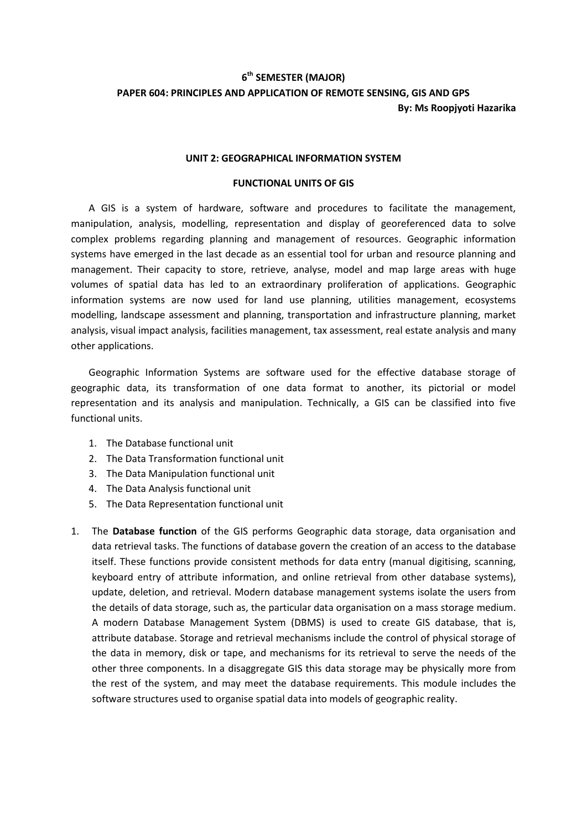## **6 th SEMESTER (MAJOR) PAPER 604: PRINCIPLES AND APPLICATION OF REMOTE SENSING, GIS AND GPS By: Ms Roopjyoti Hazarika**

## **UNIT 2: GEOGRAPHICAL INFORMATION SYSTEM**

## **FUNCTIONAL UNITS OF GIS**

A GIS is a system of hardware, software and procedures to facilitate the management, manipulation, analysis, modelling, representation and display of georeferenced data to solve complex problems regarding planning and management of resources. Geographic information systems have emerged in the last decade as an essential tool for urban and resource planning and management. Their capacity to store, retrieve, analyse, model and map large areas with huge volumes of spatial data has led to an extraordinary proliferation of applications. Geographic information systems are now used for land use planning, utilities management, ecosystems modelling, landscape assessment and planning, transportation and infrastructure planning, market analysis, visual impact analysis, facilities management, tax assessment, real estate analysis and many other applications.

Geographic Information Systems are software used for the effective database storage of geographic data, its transformation of one data format to another, its pictorial or model representation and its analysis and manipulation. Technically, a GIS can be classified into five functional units.

- 1. The Database functional unit
- 2. The Data Transformation functional unit
- 3. The Data Manipulation functional unit
- 4. The Data Analysis functional unit
- 5. The Data Representation functional unit
- 1. The **Database function** of the GIS performs Geographic data storage, data organisation and data retrieval tasks. The functions of database govern the creation of an access to the database itself. These functions provide consistent methods for data entry (manual digitising, scanning, keyboard entry of attribute information, and online retrieval from other database systems), update, deletion, and retrieval. Modern database management systems isolate the users from the details of data storage, such as, the particular data organisation on a mass storage medium. A modern Database Management System (DBMS) is used to create GIS database, that is, attribute database. Storage and retrieval mechanisms include the control of physical storage of the data in memory, disk or tape, and mechanisms for its retrieval to serve the needs of the other three components. In a disaggregate GIS this data storage may be physically more from the rest of the system, and may meet the database requirements. This module includes the software structures used to organise spatial data into models of geographic reality.